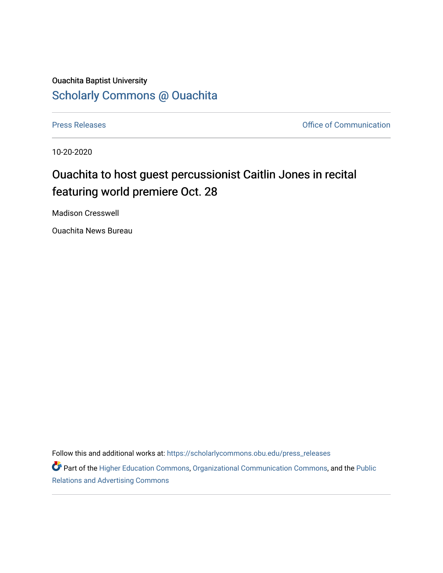## Ouachita Baptist University [Scholarly Commons @ Ouachita](https://scholarlycommons.obu.edu/)

[Press Releases](https://scholarlycommons.obu.edu/press_releases) **Press Releases Communication Press Releases Office of Communication** 

10-20-2020

## Ouachita to host guest percussionist Caitlin Jones in recital featuring world premiere Oct. 28

Madison Cresswell

Ouachita News Bureau

Follow this and additional works at: [https://scholarlycommons.obu.edu/press\\_releases](https://scholarlycommons.obu.edu/press_releases?utm_source=scholarlycommons.obu.edu%2Fpress_releases%2F741&utm_medium=PDF&utm_campaign=PDFCoverPages)

Part of the [Higher Education Commons,](http://network.bepress.com/hgg/discipline/1245?utm_source=scholarlycommons.obu.edu%2Fpress_releases%2F741&utm_medium=PDF&utm_campaign=PDFCoverPages) [Organizational Communication Commons,](http://network.bepress.com/hgg/discipline/335?utm_source=scholarlycommons.obu.edu%2Fpress_releases%2F741&utm_medium=PDF&utm_campaign=PDFCoverPages) and the [Public](http://network.bepress.com/hgg/discipline/336?utm_source=scholarlycommons.obu.edu%2Fpress_releases%2F741&utm_medium=PDF&utm_campaign=PDFCoverPages) [Relations and Advertising Commons](http://network.bepress.com/hgg/discipline/336?utm_source=scholarlycommons.obu.edu%2Fpress_releases%2F741&utm_medium=PDF&utm_campaign=PDFCoverPages)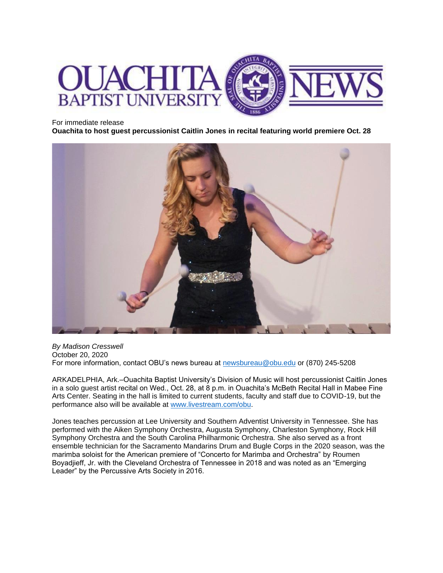

## For immediate release

**Ouachita to host guest percussionist Caitlin Jones in recital featuring world premiere Oct. 28**



*By Madison Cresswell* October 20, 2020 For more information, contact OBU's news bureau at [newsbureau@obu.edu](mailto:newsbureau@obu.edu) or (870) 245-5208

ARKADELPHIA, Ark.–Ouachita Baptist University's Division of Music will host percussionist Caitlin Jones in a solo guest artist recital on Wed., Oct. 28, at 8 p.m. in Ouachita's McBeth Recital Hall in Mabee Fine Arts Center. Seating in the hall is limited to current students, faculty and staff due to COVID-19, but the performance also will be available at [www.livestream.com/obu.](http://www.livestream.com/obu)

Jones teaches percussion at Lee University and Southern Adventist University in Tennessee. She has performed with the Aiken Symphony Orchestra, Augusta Symphony, Charleston Symphony, Rock Hill Symphony Orchestra and the South Carolina Philharmonic Orchestra. She also served as a front ensemble technician for the Sacramento Mandarins Drum and Bugle Corps in the 2020 season, was the marimba soloist for the American premiere of "Concerto for Marimba and Orchestra" by Roumen Boyadjieff, Jr. with the Cleveland Orchestra of Tennessee in 2018 and was noted as an "Emerging Leader" by the Percussive Arts Society in 2016.